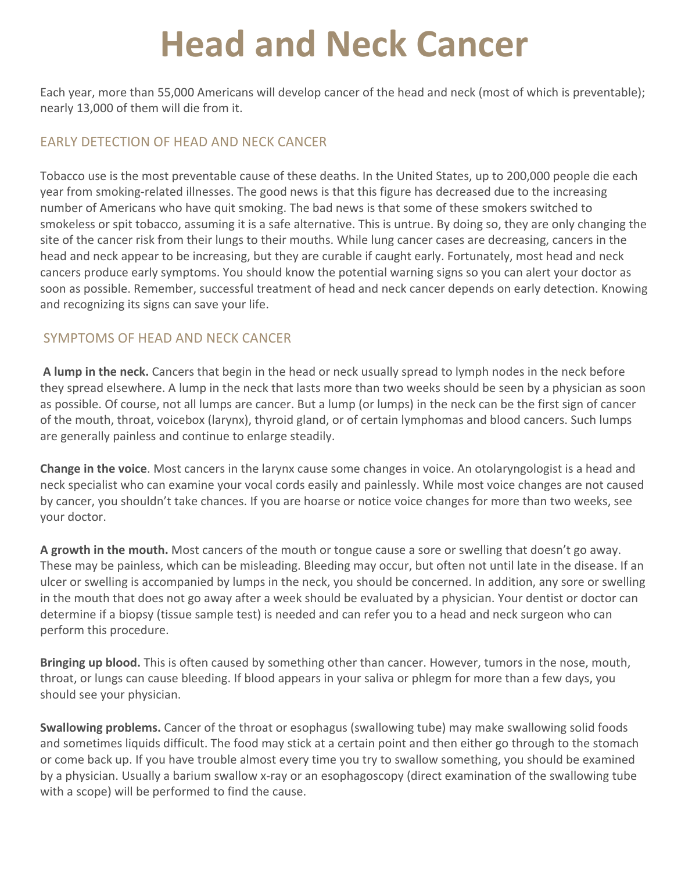# **Head and Neck Cancer**

Each year, more than 55,000 Americans will develop cancer of the head and neck (most of which is preventable); nearly 13,000 of them will die from it.

## EARLY DETECTION OF HEAD AND NECK CANCER

Tobacco use is the most preventable cause of these deaths. In the United States, up to 200,000 people die each year from smoking-related illnesses. The good news is that this figure has decreased due to the increasing number of Americans who have quit smoking. The bad news is that some of these smokers switched to smokeless or spit tobacco, assuming it is a safe alternative. This is untrue. By doing so, they are only changing the site of the cancer risk from their lungs to their mouths. While lung cancer cases are decreasing, cancers in the head and neck appear to be increasing, but they are curable if caught early. Fortunately, most head and neck cancers produce early symptoms. You should know the potential warning signs so you can alert your doctor as soon as possible. Remember, successful treatment of head and neck cancer depends on early detection. Knowing and recognizing its signs can save your life.

## SYMPTOMS OF HEAD AND NECK CANCER

**A** lump in the neck. Cancers that begin in the head or neck usually spread to lymph nodes in the neck before they spread elsewhere. A lump in the neck that lasts more than two weeks should be seen by a physician as soon as possible. Of course, not all lumps are cancer. But a lump (or lumps) in the neck can be the first sign of cancer of the mouth, throat, voicebox (larynx), thyroid gland, or of certain lymphomas and blood cancers. Such lumps are generally painless and continue to enlarge steadily.

**Change in the voice**. Most cancers in the larynx cause some changes in voice. An otolaryngologist is a head and neck specialist who can examine your vocal cords easily and painlessly. While most voice changes are not caused by cancer, you shouldn't take chances. If you are hoarse or notice voice changes for more than two weeks, see vour doctor.

A growth in the mouth. Most cancers of the mouth or tongue cause a sore or swelling that doesn't go away. These may be painless, which can be misleading. Bleeding may occur, but often not until late in the disease. If an ulcer or swelling is accompanied by lumps in the neck, you should be concerned. In addition, any sore or swelling in the mouth that does not go away after a week should be evaluated by a physician. Your dentist or doctor can determine if a biopsy (tissue sample test) is needed and can refer you to a head and neck surgeon who can perform this procedure.

**Bringing up blood.** This is often caused by something other than cancer. However, tumors in the nose, mouth, throat, or lungs can cause bleeding. If blood appears in your saliva or phlegm for more than a few days, you should see your physician.

**Swallowing problems.** Cancer of the throat or esophagus (swallowing tube) may make swallowing solid foods and sometimes liquids difficult. The food may stick at a certain point and then either go through to the stomach or come back up. If you have trouble almost every time you try to swallow something, you should be examined by a physician. Usually a barium swallow x-ray or an esophagoscopy (direct examination of the swallowing tube with a scope) will be performed to find the cause.